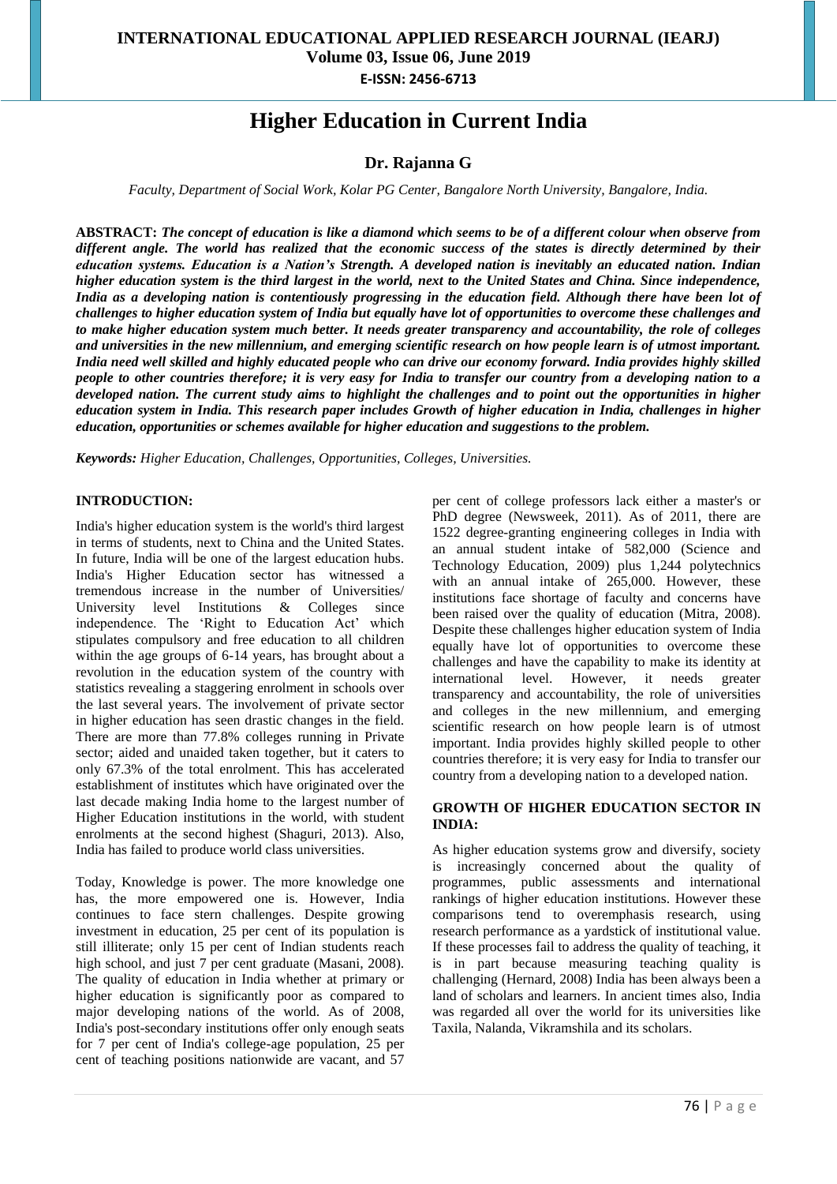# **Higher Education in Current India**

## **Dr. Rajanna G**

*Faculty, Department of Social Work, Kolar PG Center, Bangalore North University, Bangalore, India.*

**ABSTRACT:** *The concept of education is like a diamond which seems to be of a different colour when observe from different angle. The world has realized that the economic success of the states is directly determined by their education systems. Education is a Nation's Strength. A developed nation is inevitably an educated nation. Indian higher education system is the third largest in the world, next to the United States and China. Since independence, India as a developing nation is contentiously progressing in the education field. Although there have been lot of challenges to higher education system of India but equally have lot of opportunities to overcome these challenges and to make higher education system much better. It needs greater transparency and accountability, the role of colleges and universities in the new millennium, and emerging scientific research on how people learn is of utmost important. India need well skilled and highly educated people who can drive our economy forward. India provides highly skilled people to other countries therefore; it is very easy for India to transfer our country from a developing nation to a developed nation. The current study aims to highlight the challenges and to point out the opportunities in higher education system in India. This research paper includes Growth of higher education in India, challenges in higher education, opportunities or schemes available for higher education and suggestions to the problem.*

*Keywords: Higher Education, Challenges, Opportunities, Colleges, Universities.*

## **INTRODUCTION:**

India's higher education system is the world's third largest in terms of students, next to China and the United States. In future, India will be one of the largest education hubs. India's Higher Education sector has witnessed a tremendous increase in the number of Universities/ University level Institutions & Colleges since independence. The 'Right to Education Act' which stipulates compulsory and free education to all children within the age groups of 6-14 years, has brought about a revolution in the education system of the country with statistics revealing a staggering enrolment in schools over the last several years. The involvement of private sector in higher education has seen drastic changes in the field. There are more than 77.8% colleges running in Private sector; aided and unaided taken together, but it caters to only 67.3% of the total enrolment. This has accelerated establishment of institutes which have originated over the last decade making India home to the largest number of Higher Education institutions in the world, with student enrolments at the second highest (Shaguri, 2013). Also, India has failed to produce world class universities.

Today, Knowledge is power. The more knowledge one has, the more empowered one is. However, India continues to face stern challenges. Despite growing investment in education, 25 per cent of its population is still illiterate; only 15 per cent of Indian students reach high school, and just 7 per cent graduate (Masani, 2008). The quality of education in India whether at primary or higher education is significantly poor as compared to major developing nations of the world. As of 2008, India's post-secondary institutions offer only enough seats for 7 per cent of India's college-age population, 25 per cent of teaching positions nationwide are vacant, and 57

per cent of college professors lack either a master's or PhD degree (Newsweek, 2011). As of 2011, there are 1522 degree-granting engineering colleges in India with an annual student intake of 582,000 (Science and Technology Education, 2009) plus 1,244 polytechnics with an annual intake of 265,000. However, these institutions face shortage of faculty and concerns have been raised over the quality of education (Mitra, 2008). Despite these challenges higher education system of India equally have lot of opportunities to overcome these challenges and have the capability to make its identity at international level. However, it needs greater transparency and accountability, the role of universities and colleges in the new millennium, and emerging scientific research on how people learn is of utmost important. India provides highly skilled people to other countries therefore; it is very easy for India to transfer our country from a developing nation to a developed nation.

#### **GROWTH OF HIGHER EDUCATION SECTOR IN INDIA:**

As higher education systems grow and diversify, society is increasingly concerned about the quality of programmes, public assessments and international rankings of higher education institutions. However these comparisons tend to overemphasis research, using research performance as a yardstick of institutional value. If these processes fail to address the quality of teaching, it is in part because measuring teaching quality is challenging (Hernard, 2008) India has been always been a land of scholars and learners. In ancient times also, India was regarded all over the world for its universities like Taxila, Nalanda, Vikramshila and its scholars.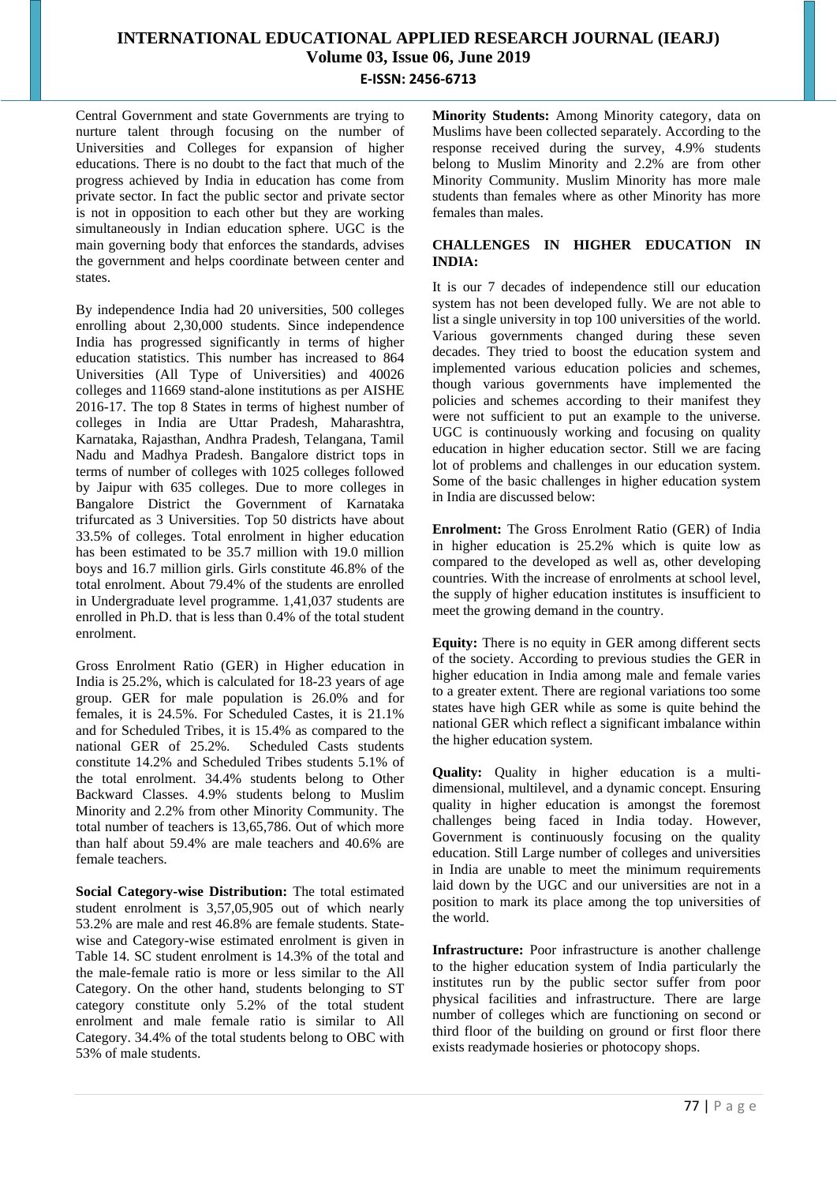Central Government and state Governments are trying to nurture talent through focusing on the number of Universities and Colleges for expansion of higher educations. There is no doubt to the fact that much of the progress achieved by India in education has come from private sector. In fact the public sector and private sector is not in opposition to each other but they are working simultaneously in Indian education sphere. UGC is the main governing body that enforces the standards, advises the government and helps coordinate between center and states.

By independence India had 20 universities, 500 colleges enrolling about 2,30,000 students. Since independence India has progressed significantly in terms of higher education statistics. This number has increased to 864 Universities (All Type of Universities) and 40026 colleges and 11669 stand-alone institutions as per AISHE 2016-17. The top 8 States in terms of highest number of colleges in India are Uttar Pradesh, Maharashtra, Karnataka, Rajasthan, Andhra Pradesh, Telangana, Tamil Nadu and Madhya Pradesh. Bangalore district tops in terms of number of colleges with 1025 colleges followed by Jaipur with 635 colleges. Due to more colleges in Bangalore District the Government of Karnataka trifurcated as 3 Universities. Top 50 districts have about 33.5% of colleges. Total enrolment in higher education has been estimated to be 35.7 million with 19.0 million boys and 16.7 million girls. Girls constitute 46.8% of the total enrolment. About 79.4% of the students are enrolled in Undergraduate level programme. 1,41,037 students are enrolled in Ph.D. that is less than 0.4% of the total student enrolment.

Gross Enrolment Ratio (GER) in Higher education in India is 25.2%, which is calculated for 18-23 years of age group. GER for male population is 26.0% and for females, it is 24.5%. For Scheduled Castes, it is 21.1% and for Scheduled Tribes, it is 15.4% as compared to the national GER of 25.2%. Scheduled Casts students constitute 14.2% and Scheduled Tribes students 5.1% of the total enrolment. 34.4% students belong to Other Backward Classes. 4.9% students belong to Muslim Minority and 2.2% from other Minority Community. The total number of teachers is 13,65,786. Out of which more than half about 59.4% are male teachers and 40.6% are female teachers.

**Social Category-wise Distribution:** The total estimated student enrolment is 3,57,05,905 out of which nearly 53.2% are male and rest 46.8% are female students. Statewise and Category-wise estimated enrolment is given in Table 14. SC student enrolment is 14.3% of the total and the male-female ratio is more or less similar to the All Category. On the other hand, students belonging to ST category constitute only 5.2% of the total student enrolment and male female ratio is similar to All Category. 34.4% of the total students belong to OBC with 53% of male students.

**Minority Students:** Among Minority category, data on Muslims have been collected separately. According to the response received during the survey, 4.9% students belong to Muslim Minority and 2.2% are from other Minority Community. Muslim Minority has more male students than females where as other Minority has more females than males.

### **CHALLENGES IN HIGHER EDUCATION IN INDIA:**

It is our 7 decades of independence still our education system has not been developed fully. We are not able to list a single university in top 100 universities of the world. Various governments changed during these seven decades. They tried to boost the education system and implemented various education policies and schemes, though various governments have implemented the policies and schemes according to their manifest they were not sufficient to put an example to the universe. UGC is continuously working and focusing on quality education in higher education sector. Still we are facing lot of problems and challenges in our education system. Some of the basic challenges in higher education system in India are discussed below:

**Enrolment:** The Gross Enrolment Ratio (GER) of India in higher education is 25.2% which is quite low as compared to the developed as well as, other developing countries. With the increase of enrolments at school level, the supply of higher education institutes is insufficient to meet the growing demand in the country.

**Equity:** There is no equity in GER among different sects of the society. According to previous studies the GER in higher education in India among male and female varies to a greater extent. There are regional variations too some states have high GER while as some is quite behind the national GER which reflect a significant imbalance within the higher education system.

**Quality:** Quality in higher education is a multidimensional, multilevel, and a dynamic concept. Ensuring quality in higher education is amongst the foremost challenges being faced in India today. However, Government is continuously focusing on the quality education. Still Large number of colleges and universities in India are unable to meet the minimum requirements laid down by the UGC and our universities are not in a position to mark its place among the top universities of the world.

**Infrastructure:** Poor infrastructure is another challenge to the higher education system of India particularly the institutes run by the public sector suffer from poor physical facilities and infrastructure. There are large number of colleges which are functioning on second or third floor of the building on ground or first floor there exists readymade hosieries or photocopy shops.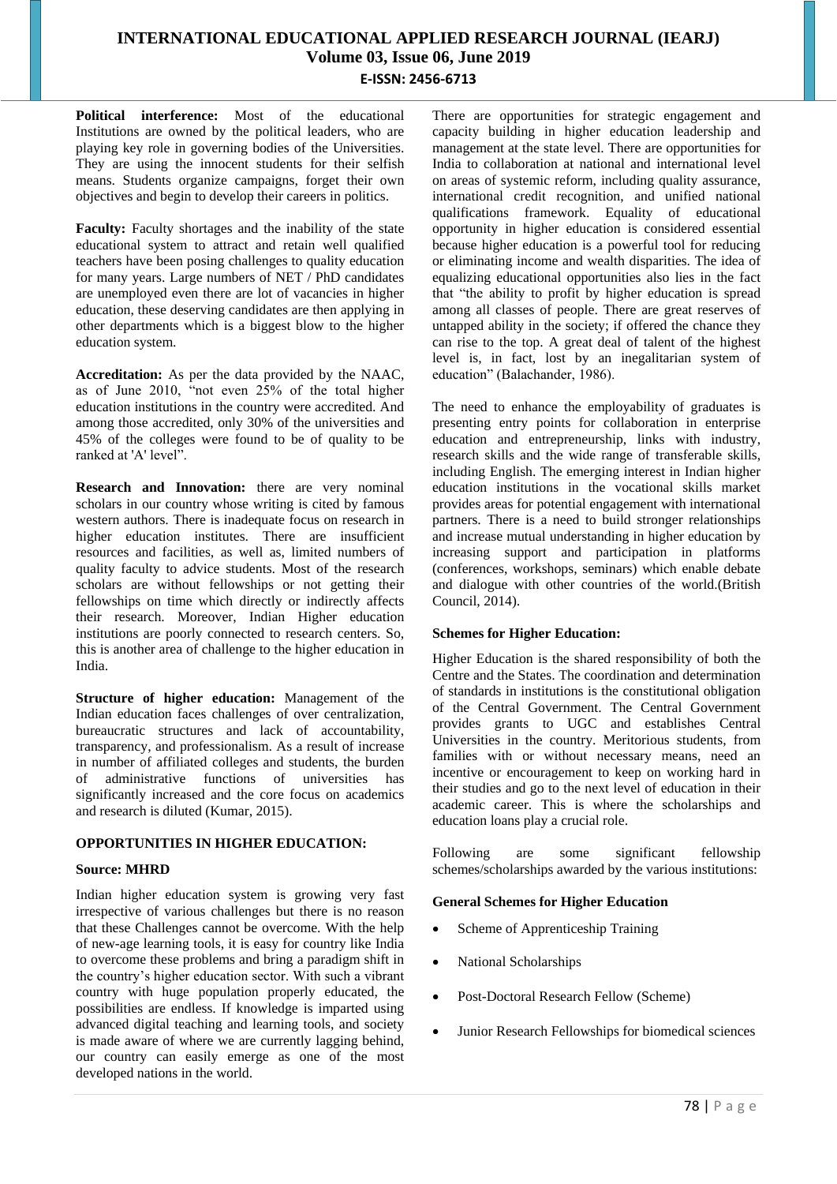**Political interference:** Most of the educational Institutions are owned by the political leaders, who are playing key role in governing bodies of the Universities. They are using the innocent students for their selfish means. Students organize campaigns, forget their own objectives and begin to develop their careers in politics.

**Faculty:** Faculty shortages and the inability of the state educational system to attract and retain well qualified teachers have been posing challenges to quality education for many years. Large numbers of NET / PhD candidates are unemployed even there are lot of vacancies in higher education, these deserving candidates are then applying in other departments which is a biggest blow to the higher education system.

**Accreditation:** As per the data provided by the NAAC, as of June 2010, "not even 25% of the total higher education institutions in the country were accredited. And among those accredited, only 30% of the universities and 45% of the colleges were found to be of quality to be ranked at 'A' level".

**Research and Innovation:** there are very nominal scholars in our country whose writing is cited by famous western authors. There is inadequate focus on research in higher education institutes. There are insufficient resources and facilities, as well as, limited numbers of quality faculty to advice students. Most of the research scholars are without fellowships or not getting their fellowships on time which directly or indirectly affects their research. Moreover, Indian Higher education institutions are poorly connected to research centers. So, this is another area of challenge to the higher education in India.

**Structure of higher education:** Management of the Indian education faces challenges of over centralization, bureaucratic structures and lack of accountability, transparency, and professionalism. As a result of increase in number of affiliated colleges and students, the burden of administrative functions of universities has significantly increased and the core focus on academics and research is diluted (Kumar, 2015).

## **OPPORTUNITIES IN HIGHER EDUCATION:**

## **Source: MHRD**

Indian higher education system is growing very fast irrespective of various challenges but there is no reason that these Challenges cannot be overcome. With the help of new-age learning tools, it is easy for country like India to overcome these problems and bring a paradigm shift in the country's higher education sector. With such a vibrant country with huge population properly educated, the possibilities are endless. If knowledge is imparted using advanced digital teaching and learning tools, and society is made aware of where we are currently lagging behind, our country can easily emerge as one of the most developed nations in the world.

There are opportunities for strategic engagement and capacity building in higher education leadership and management at the state level. There are opportunities for India to collaboration at national and international level on areas of systemic reform, including quality assurance, international credit recognition, and unified national qualifications framework. Equality of educational opportunity in higher education is considered essential because higher education is a powerful tool for reducing or eliminating income and wealth disparities. The idea of equalizing educational opportunities also lies in the fact that "the ability to profit by higher education is spread among all classes of people. There are great reserves of untapped ability in the society; if offered the chance they can rise to the top. A great deal of talent of the highest level is, in fact, lost by an inegalitarian system of education" (Balachander, 1986).

The need to enhance the employability of graduates is presenting entry points for collaboration in enterprise education and entrepreneurship, links with industry, research skills and the wide range of transferable skills, including English. The emerging interest in Indian higher education institutions in the vocational skills market provides areas for potential engagement with international partners. There is a need to build stronger relationships and increase mutual understanding in higher education by increasing support and participation in platforms (conferences, workshops, seminars) which enable debate and dialogue with other countries of the world.(British Council, 2014).

## **Schemes for Higher Education:**

Higher Education is the shared responsibility of both the Centre and the States. The coordination and determination of standards in institutions is the constitutional obligation of the Central Government. The Central Government provides grants to UGC and establishes Central Universities in the country. Meritorious students, from families with or without necessary means, need an incentive or encouragement to keep on working hard in their studies and go to the next level of education in their academic career. This is where the scholarships and education loans play a crucial role.

Following are some significant fellowship schemes/scholarships awarded by the various institutions:

#### **General Schemes for Higher Education**

- Scheme of Apprenticeship Training
- National Scholarships
- Post-Doctoral Research Fellow (Scheme)
- Junior Research Fellowships for biomedical sciences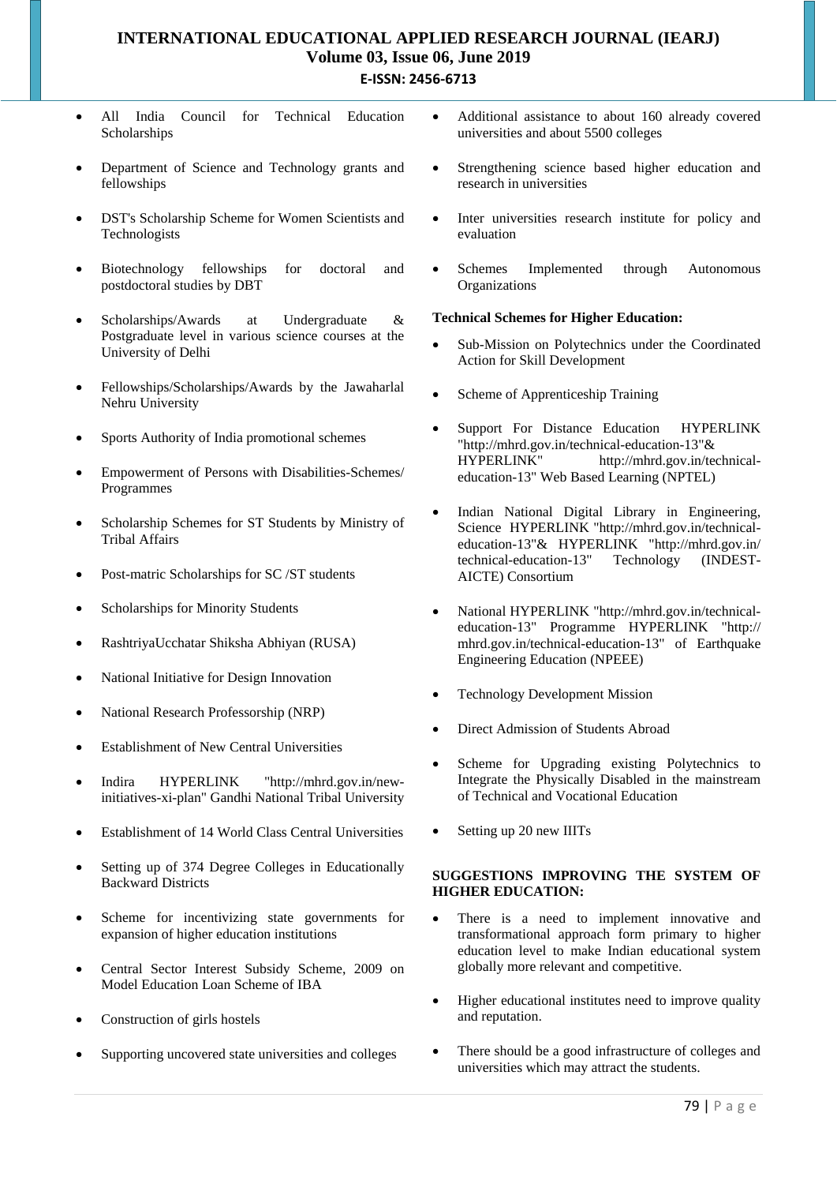- All India Council for Technical Education Scholarships
- Department of Science and Technology grants and fellowships
- DST's Scholarship Scheme for Women Scientists and Technologists
- Biotechnology fellowships for doctoral and postdoctoral studies by DBT
- Scholarships/Awards at Undergraduate & Postgraduate level in various science courses at the University of Delhi
- Fellowships/Scholarships/Awards by the Jawaharlal Nehru University
- Sports Authority of India promotional schemes
- Empowerment of Persons with Disabilities-Schemes/ Programmes
- Scholarship Schemes for ST Students by Ministry of Tribal Affairs
- Post-matric Scholarships for SC /ST students
- Scholarships for Minority Students
- RashtriyaUcchatar Shiksha Abhiyan (RUSA)
- National Initiative for Design Innovation
- National Research Professorship (NRP)
- Establishment of New Central Universities
- Indira HYPERLINK "http://mhrd.gov.in/newinitiatives-xi-plan" Gandhi National Tribal University
- Establishment of 14 World Class Central Universities
- Setting up of 374 Degree Colleges in Educationally Backward Districts
- Scheme for incentivizing state governments for expansion of higher education institutions
- Central Sector Interest Subsidy Scheme, 2009 on Model Education Loan Scheme of IBA
- Construction of girls hostels
- Supporting uncovered state universities and colleges
- Additional assistance to about 160 already covered universities and about 5500 colleges
- Strengthening science based higher education and research in universities
- Inter universities research institute for policy and evaluation
- Schemes Implemented through Autonomous **Organizations**

#### **Technical Schemes for Higher Education:**

- Sub-Mission on Polytechnics under the Coordinated Action for Skill Development
- Scheme of Apprenticeship Training
- Support For Distance Education HYPERLINK "http://mhrd.gov.in/technical-education-13"& HYPERLINK" http://mhrd.gov.in/technicaleducation-13" Web Based Learning (NPTEL)
- Indian National Digital Library in Engineering, Science HYPERLINK "http://mhrd.gov.in/technicaleducation-13"& HYPERLINK "http://mhrd.gov.in/ technical-education-13" Technology (INDEST-AICTE) Consortium
- National HYPERLINK "http://mhrd.gov.in/technicaleducation-13" Programme HYPERLINK "http:// mhrd.gov.in/technical-education-13" of Earthquake Engineering Education (NPEEE)
- Technology Development Mission
- Direct Admission of Students Abroad
- Scheme for Upgrading existing Polytechnics to Integrate the Physically Disabled in the mainstream of Technical and Vocational Education
- Setting up 20 new IIITs

## **SUGGESTIONS IMPROVING THE SYSTEM OF HIGHER EDUCATION:**

- There is a need to implement innovative and transformational approach form primary to higher education level to make Indian educational system globally more relevant and competitive.
- Higher educational institutes need to improve quality and reputation.
- There should be a good infrastructure of colleges and universities which may attract the students.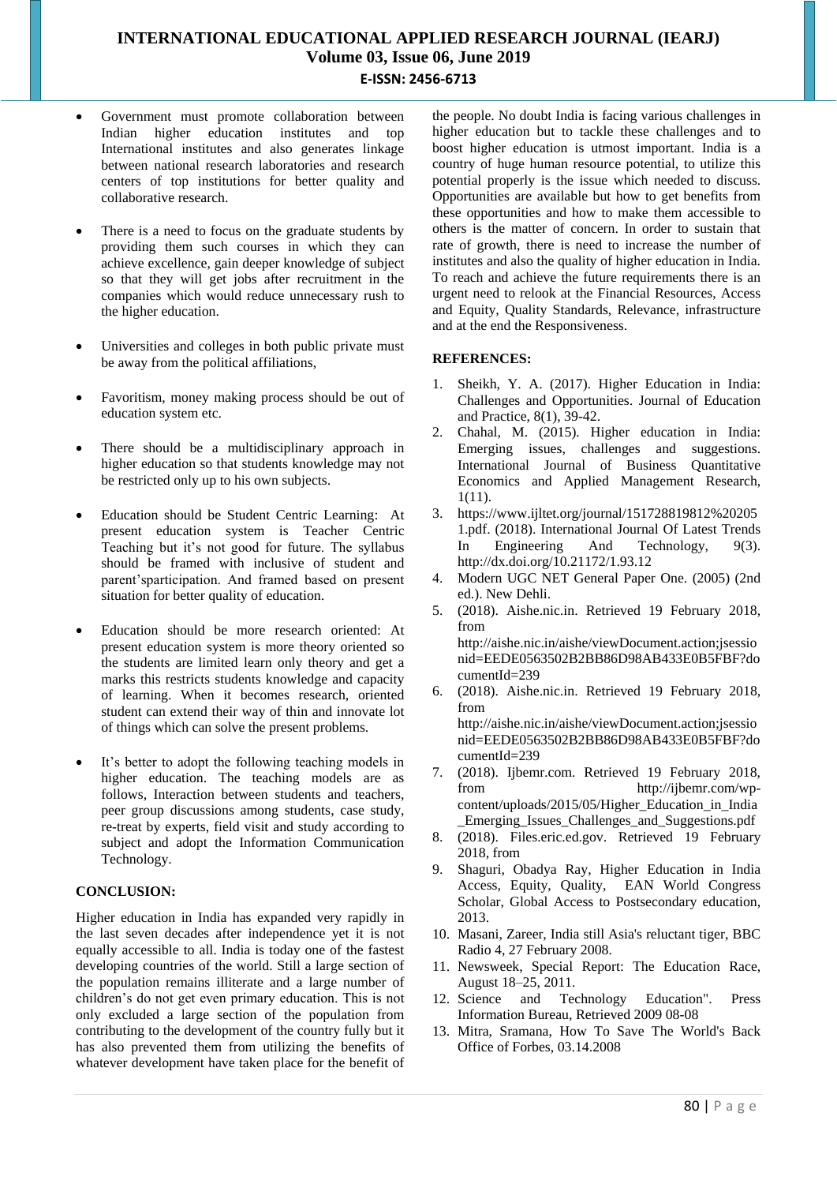- Government must promote collaboration between Indian higher education institutes and top International institutes and also generates linkage between national research laboratories and research centers of top institutions for better quality and collaborative research.
- There is a need to focus on the graduate students by providing them such courses in which they can achieve excellence, gain deeper knowledge of subject so that they will get jobs after recruitment in the companies which would reduce unnecessary rush to the higher education.
- Universities and colleges in both public private must be away from the political affiliations,
- Favoritism, money making process should be out of education system etc.
- There should be a multidisciplinary approach in higher education so that students knowledge may not be restricted only up to his own subjects.
- Education should be Student Centric Learning: At present education system is Teacher Centric Teaching but it's not good for future. The syllabus should be framed with inclusive of student and parent'sparticipation. And framed based on present situation for better quality of education.
- Education should be more research oriented: At present education system is more theory oriented so the students are limited learn only theory and get a marks this restricts students knowledge and capacity of learning. When it becomes research, oriented student can extend their way of thin and innovate lot of things which can solve the present problems.
- It's better to adopt the following teaching models in higher education. The teaching models are as follows, Interaction between students and teachers, peer group discussions among students, case study, re-treat by experts, field visit and study according to subject and adopt the Information Communication Technology.

#### **CONCLUSION:**

Higher education in India has expanded very rapidly in the last seven decades after independence yet it is not equally accessible to all. India is today one of the fastest developing countries of the world. Still a large section of the population remains illiterate and a large number of children's do not get even primary education. This is not only excluded a large section of the population from contributing to the development of the country fully but it has also prevented them from utilizing the benefits of whatever development have taken place for the benefit of the people. No doubt India is facing various challenges in higher education but to tackle these challenges and to boost higher education is utmost important. India is a country of huge human resource potential, to utilize this potential properly is the issue which needed to discuss. Opportunities are available but how to get benefits from these opportunities and how to make them accessible to others is the matter of concern. In order to sustain that rate of growth, there is need to increase the number of institutes and also the quality of higher education in India. To reach and achieve the future requirements there is an urgent need to relook at the Financial Resources, Access and Equity, Quality Standards, Relevance, infrastructure and at the end the Responsiveness.

### **REFERENCES:**

- 1. Sheikh, Y. A. (2017). Higher Education in India: Challenges and Opportunities. Journal of Education and Practice, 8(1), 39-42.
- 2. Chahal, M. (2015). Higher education in India: Emerging issues, challenges and suggestions. International Journal of Business Quantitative Economics and Applied Management Research, 1(11).
- 3. https://www.ijltet.org/journal/151728819812%20205 1.pdf. (2018). International Journal Of Latest Trends In Engineering And Technology, 9(3). http://dx.doi.org/10.21172/1.93.12
- 4. Modern UGC NET General Paper One. (2005) (2nd ed.). New Dehli.
- 5. (2018). Aishe.nic.in. Retrieved 19 February 2018, from http://aishe.nic.in/aishe/viewDocument.action;jsessio nid=EEDE0563502B2BB86D98AB433E0B5FBF?do cumentId=239
- 6. (2018). Aishe.nic.in. Retrieved 19 February 2018, from http://aishe.nic.in/aishe/viewDocument.action;jsessio nid=EEDE0563502B2BB86D98AB433E0B5FBF?do cumentId=239
- 7. (2018). Ijbemr.com. Retrieved 19 February 2018, from http://ijbemr.com/wpcontent/uploads/2015/05/Higher\_Education\_in\_India \_Emerging\_Issues\_Challenges\_and\_Suggestions.pdf
- 8. (2018). Files.eric.ed.gov. Retrieved 19 February 2018, from
- 9. Shaguri, Obadya Ray, Higher Education in India Access, Equity, Quality, EAN World Congress Scholar, Global Access to Postsecondary education, 2013.
- 10. Masani, Zareer, India still Asia's reluctant tiger, BBC Radio 4, 27 February 2008.
- 11. Newsweek, Special Report: The Education Race, August 18–25, 2011.
- 12. Science and Technology Education". Press Information Bureau, Retrieved 2009 08-08
- 13. Mitra, Sramana, How To Save The World's Back Office of Forbes, 03.14.2008